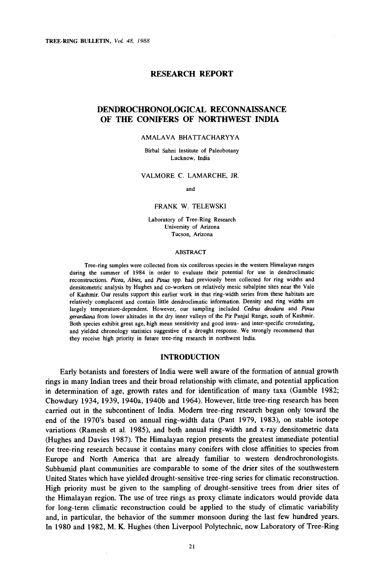#### RESEARCH REPORT

### DENDROCHRONOLOGICAL RECONNAISSANCE OF THE CONIFERS OF NORTHWEST INDIA

#### AMALAVA BHATTACHARYYA

Birbal Sahni Institute of Paleobotany Lucknow, India

VALMORE C. LAMARCHE, JR.

and

#### FRANK W. TELEWSKI

Laboratory of Tree -Ring Research University of Arizona Tucson, Arizona

#### ABSTRACT

Tree -ring samples were collected from six coniferous species in the western Himalayan ranges during the summer of 1984 in order to evaluate their potential for use in dendroclimatic reconstructions. Picea, Abies, and Pinus spp. had previously been collected for ring widths and densitometric analysis by Hughes and co- workers on relatively mesic subalpine sites near the Vale of Kashmir. Our results support this earlier work in that ring -width series from these habitats are relatively complacent and contain little dendroclimatic information. Density and ring widths are largely temperature-dependent. However, our sampling included Cedrus deodara and Pinus gerardiana from lower altitudes in the dry inner valleys of the Pir Panjal Range, south of Kashmir. Both species exhibit great age, high mean sensitivity and good intra- and inter - specific crossdating, and yielded chronology statistics suggestive of a drought response. We strongly recommend that they receive high priority in future tree -ring research in northwest India.

#### INTRODUCTION

Early botanists and foresters of India were well aware of the formation of annual growth rings in many Indian trees and their broad relationship with climate, and potential application in determination of age, growth rates and for identification of many taxa (Gamble 1982; Chowdury 1934, 1939, 1940a, 1940b and 1964). However, little tree -ring research has been carried out in the subcontinent of India. Modern tree -ring research began only toward the end of the 1970's based on annual ring -width data (Pant 1979, 1983), on stable isotope variations (Ramesh et al. 1985), and both annual ring -width and x -ray densitometric data (Hughes and Davies 1987). The Himalayan region presents the greatest immediate potential for tree -ring research because it contains many conifers with close affinities to species from Europe and North America that are already familiar to western dendrochronologists. Subhumid plant communities are comparable to some of the drier sites of the southwestern United States which have yielded drought- sensitive tree -ring series for climatic reconstruction. High priority must be given to the sampling of drought-sensitive trees from drier sites of the Himalayan region. The use of tree rings as proxy climate indicators would provide data for long -term climatic reconstruction could be applied to the study of climatic variability and, in particular, the behavior of the summer monsoon during the last few hundred years. In 1980 and 1982, M. K. Hughes (then Liverpool Polytechnic, now Laboratory of Tree-Ring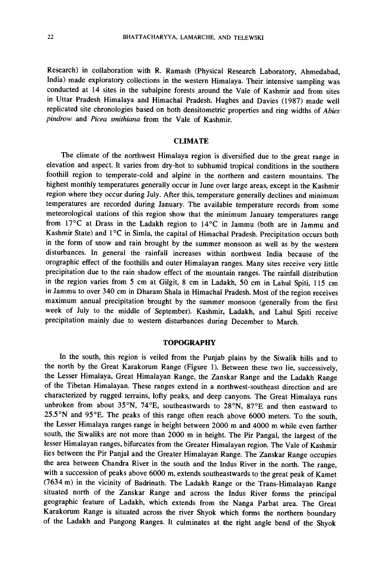Research) in collaboration with R. Ramash (Physical Research Laboratory, Ahmedabad, India) made exploratory collections in the western Himalaya. Their intensive sampling was conducted at 14 sites in the subalpine forests around the Vale of Kashmir and from sites in Uttar Pradesh Himalaya and Himachal Pradesh. Hughes and Davies (1987) made well replicated site chronologies based on both densitometric properties and ring widths of Abies pindrow and Picea smithiana from the Vale of Kashmir.

#### **CLIMATE**

The climate of the northwest Himalaya region is diversified due to the great range in elevation and aspect. It varies from dry-hot to subhumid tropical conditions in the southern foothill region to temperate -cold and alpine in the northern and eastern mountains. The highest monthly temperatures generally occur in June over large areas, except in the Kashmir region where they occur during July. After this, temperature generally declines and minimum temperatures are recorded during January. The available temperature records from some meteorological stations of this region show that the minimum January temperatures range from  $17^{\circ}$ C at Drass in the Ladakh region to  $14^{\circ}$ C in Jammu (both are in Jammu and Kashmir State) and 1°C in Simla, the capital of Himachal Pradesh. Precipitation occurs both in the form of snow and rain brought by the summer monsoon as well as by the western disturbances. In general the rainfall increases within northwest India because of the orographic effect of the foothills and outer Himalayan ranges. Many sites receive very little precipitation due to the rain shadow effect of the mountain ranges. The rainfall distribution in the region varies from 5 cm at Gilgit, 8 cm in Ladakh, 50 cm in Lahul Spiti, 115 cm in Jammu to over 340 cm in Dharam Shala in Himachal Pradesh. Most of the region receives maximum annual precipitation brought by the summer monsoon (generally from the first week of July to the middle of September). Kashmir, Ladakh, and Lahul Spiti receive precipitation mainly due to western disturbances during December to March.

#### **TOPOGRAPHY**

In the south, this region is veiled from the Punjab plains by the Siwalik hills and to the north by the Great Karakorum Range (Figure 1). Between these two lie, successively, the Lesser Himalaya, Great Himalayan Range, the Zanskar Range and the Ladakh Range of the Tibetan Himalayan. These ranges extend in a northwest-southeast direction and are characterized by rugged terrains, lofty peaks, and deep canyons. The Great Himalaya runs unbroken from about 35°N, 74°E, southeastwards to 28°N, 87°E and then eastward to 25.5°N and 95°E. The peaks of this range often reach above 6000 meters. To the south, the Lesser Himalaya ranges range in height between 2000 m and 4000 m while even farther south, the Siwaliks are not more than 2000 m in height. The Pir Pangal, the largest of the lesser Himalayan ranges, bifurcates from the Greater Himalayan region. The Vale of Kashmir lies between the Pir Panjal and the Greater Himalayan Range. The Zanskar Range occupies the area between Chandra River in the south and the Indus River in the north. The range, with a succession of peaks above 6000 m, extends southeastwards to the great peak of Kamet (7634 m) in the vicinity of Badrinath. The Ladakh Range or the Trans -Himalayan Range situated north of the Zanskar Range and across the Indus River forms the principal geographic feature of Ladakh, which extends from the Nanga Parbat area. The Great Karakorum Range is situated across the river Shyok which forms the northern boundary of the Ladakh and Pangong Ranges. It culminates at the right angle bend of the Shyok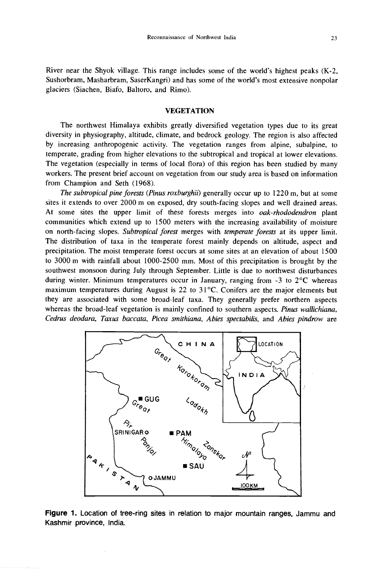River near the Shyok village. This range includes some of the world's highest peaks (K -2, Sushorbram, Masharbram, SaserKangri) and has some of the world's most extensive nonpolar glaciers (Siachen, Biafo, Baltoro, and Rimo).

## VEGETATION

The northwest Himalaya exhibits greatly diversified vegetation types due to its great diversity in physiography, altitude, climate, and bedrock geology. The region is also affected by increasing anthropogenic activity. The vegetation ranges from alpine, subalpine, to temperate, grading from higher elevations to the subtropical and tropical at lower elevations. The vegetation (especially in terms of local flora) of this region has been studied by many workers. The present brief account on vegetation from our study area is based on information from Champion and Seth (1968).

The subtropical pine forests (Pinus roxburghii) generally occur up to 1220 m, but at some sites it extends to over 2000 m on exposed, dry south -facing slopes and well drained areas. At some sites the upper limit of these forests merges into *oak-rhododendron* plant communities which extend up to 1500 meters with the increasing availability of moisture on north-facing slopes. Subtropical forest merges with temperate forests at its upper limit. The distribution of taxa in the temperate forest mainly depends on altitude, aspect and precipitation. The moist temperate forest occurs at some sites at an elevation of about 1500 to 3000 m with rainfall about 1000 -2500 mm. Most of this precipitation is brought by the southwest monsoon during July through September. Little is due to northwest disturbances during winter. Minimum temperatures occur in January, ranging from  $-3$  to  $2^{\circ}$ C whereas maximum temperatures during August is 22 to 31°C. Conifers are the major elements but they are associated with some broad-leaf taxa. They generally prefer northern aspects whereas the broad-leaf vegetation is mainly confined to southern aspects. Pinus wallichiana, Cedrus deodara, Taxus baccata, Picea smithiana, Abies spectabilis, and Abies pindrow are



Figure 1. Location of tree-ring sites in relation to major mountain ranges, Jammu and Kashmir province, India.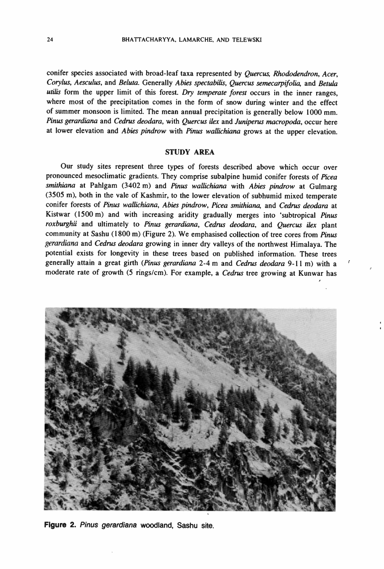conifer species associated with broad-leaf taxa represented by Quercus, Rhododendron, Acer, Corylus, Aesculus, and Beluta. Generally Abies spectabilis, Quercus semecarpifolia, and Betula utilis form the upper limit of this forest. Dry temperate forest occurs in the inner ranges, where most of the precipitation comes in the form of snow during winter and the effect of summer monsoon is limited. The mean annual precipitation is generally below 1000 mm. Pinus gerardiana and Cedrus deodara, with Quercus ilex and Juniperus macropoda, occur here at lower elevation and Abies pindrow with Pinus wallichiana grows at the upper elevation.

#### STUDY AREA

Our study sites represent three types of forests described above which occur over pronounced mesoclimatic gradients. They comprise subalpine humid conifer forests of Picea smithiana at Pahlgam (3402 m) and Pinus wallichiana with Abies pindrow at Gulmarg (3505 m), both in the vale of Kashmir, to the lower elevation of subhumid mixed temperate conifer forests of Pinus wallichiana, Abies pindrow, Picea smithiana, and Cedrus deodara at Kistwar (1500 m) and with increasing aridity gradually merges into 'subtropical Pinus roxburghii and ultimately to Pinus gerardiana, Cedrus deodara, and Quercus ilex plant community at Sashu (1800 m) (Figure 2). We emphasised collection of tree cores from Pinus gerardiana and Cedrus deodara growing in inner dry valleys of the northwest Himalaya. The potential exists for longevity in these trees based on published information. These trees generally attain a great girth (Pinus gerardiana 2-4 m and Cedrus deodara 9-11 m) with a moderate rate of growth (5 rings/cm). For example, a Cedrus tree growing at Kunwar has



Figure 2. Pinus gerardiana woodland, Sashu site.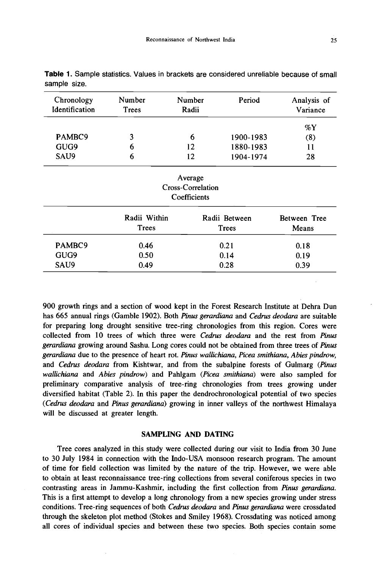| Chronology<br>Identification | Number<br>Trees       | Number<br>Radii                              | Period                 | Analysis of<br>Variance |
|------------------------------|-----------------------|----------------------------------------------|------------------------|-------------------------|
|                              |                       |                                              |                        | %Y                      |
| PAMBC9                       | 3                     | 6                                            | 1900-1983              | (8)                     |
| GUG9                         | 6                     | 12                                           | 1880-1983              | 11                      |
| SAU9                         | 6                     | 12                                           | 1904-1974              | 28                      |
|                              |                       | Average<br>Cross-Correlation<br>Coefficients |                        |                         |
|                              | Radii Within<br>Trees |                                              | Radii Between<br>Trees | Between Tree<br>Means   |
| PAMBC9                       | 0.46                  |                                              | 0.21                   | 0.18                    |
| GUG9                         | 0.50                  |                                              | 0.14                   | 0.19                    |
| SAU9                         | 0.49                  |                                              | 0.28                   | 0.39                    |

Table 1. Sample statistics. Values in brackets are considered unreliable because of small sample size.

900 growth rings and a section of wood kept in the Forest Research Institute at Dehra Dun has 665 annual rings (Gamble 1902). Both Pinus gerardiana and Cedrus deodara are suitable for preparing long drought sensitive tree -ring chronologies from this region. Cores were collected from 10 trees of which three were Cedrus deodara and the rest from Pinus gerardiana growing around Sashu. Long cores could not be obtained from three trees of Pinus gerardiana due to the presence of heart rot. Pinus wallichiana, Picea smithiana, Abies pindrow, and Cedrus deodara from Kishtwar, and from the subalpine forests of Gulmarg (Pinus wallichiana and Abies pindrow) and Pahlgam (Picea smithiana) were also sampled for preliminary comparative analysis of tree -ring chronologies from trees growing under diversified habitat (Table 2). In this paper the dendrochronological potential of two species (Cedrus deodara and Pinus gerardiana) growing in inner valleys of the northwest Himalaya will be discussed at greater length.

#### SAMPLING AND DATING

Tree cores analyzed in this study were collected during our visit to India from 30 June to 30 July 1984 in connection with the Indo-USA monsoon research program. The amount of time for field collection was limited by the nature of the trip. However, we were able to obtain at least reconnaissance tree -ring collections from several coniferous species in two contrasting areas in Jammu -Kashmir, including the first collection from Pinus gerardiana. This is a first attempt to develop a long chronology from a new species growing under stress conditions. Tree-ring sequences of both Cedrus deodara and Pinus gerardiana were crossdated through the skeleton plot method (Stokes and Smiley 1968). Crossdating was noticed among all cores of individual species and between these two species. Both species contain some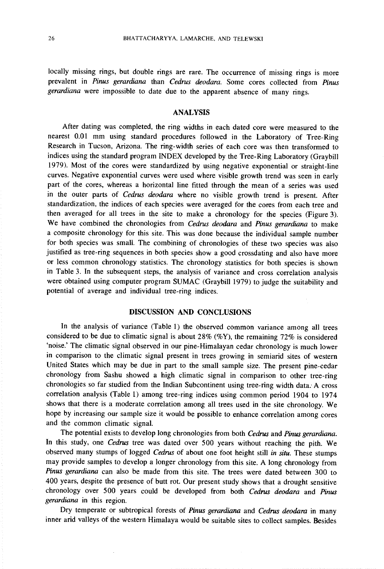locally missing rings, but double rings are rare. The occurrence of missing rings is more prevalent in Pinus gerardiana than Cedrus deodara. Some cores collected from Pinus gerardiana were impossible to date due to the apparent absence of many rings.

# ANALYSIS

After dating was completed, the ring widths in each dated core were measured to the nearest 0.01 mm using standard procedures followed in the Laboratory of Tree -Ring Research in Tucson, Arizona. The ring-width series of each core was then transformed to indices using the standard program INDEX developed by the Tree -Ring Laboratory (Graybill 1979). Most of the cores were standardized by using negative exponential or straight -line curves. Negative exponential curves were used where visible growth trend was seen in early part of the cores, whereas a horizontal line fitted through the mean of a series was used in the outer parts of Cedrus deodara where no visible growth trend is present. After standardization, the indices of each species were averaged for the cores from each tree and then averaged for all trees in the site to make a chronology for the species (Figure 3). We have combined the chronologies from Cedrus deodara and Pinus gerardiana to make a composite chronology for this site. This was done because the individual sample number for both species was small. The combining of chronologies of these two species was also justified as tree-ring sequences in both species show a good crossdating and also have more or less common chronology statistics. The chronology statistics for both species is shown in Table 3. In the subsequent steps, the analysis of variance and cross correlation analysis were obtained using computer program SUMAC (Graybill 1979) to judge the suitability and potential of average and individual tree-ring indices.

# DISCUSSION AND CONCLUSIONS

In the analysis of variance (Table 1) the observed common variance among all trees considered to be due to climatic signal is about  $28\%$  (%Y), the remaining 72% is considered 'noise.' The climatic signal observed in our pine-Himalayan cedar chronology is much lower in comparison to the climatic signal present in trees growing in semiarid sites of western United States which may be due in part to the small sample size. The present pine -cedar chronology from Sashu showed a high climatic signal in comparison to other tree-ring chronologies so far studied from the Indian Subcontinent using tree-ring width data. A cross correlation analysis (Table 1) among tree -ring indices using common period 1904 to 1974 shows that there is a moderate correlation among all trees used in the site chronology. We hope by increasing our sample size it would be possible to enhance correlation among cores and the common climatic signal.

The potential exists to develop long chronologies from both Cedrus and Pinus gerardiana. In this study, one Cedrus tree was dated over 500 years without reaching the pith. We observed many stumps of logged Cedrus of about one foot height still in situ. These stumps may provide samples to develop a longer chronology from this site. A long chronology from Pinus gerardiana can also be made from this site. The trees were dated between 300 to 400 years, despite the presence of butt rot. Our present study shows that a drought sensitive chronology over 500 years could be developed from both Cedrus deodara and Pinus gerardiana in this region.

Dry temperate or subtropical forests of Pinus gerardiana and Cedrus deodara in many inner arid valleys of the western Himalaya would be suitable sites to collect samples. Besides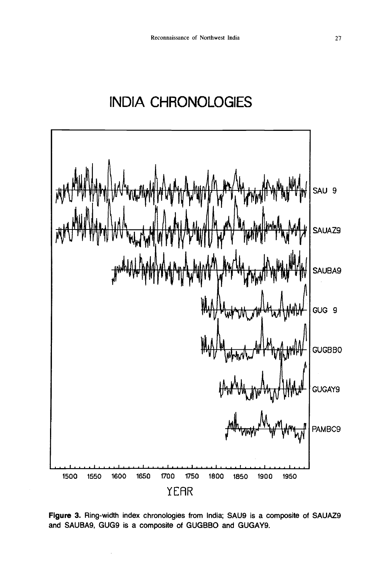# **INDIA CHRONOLOGIES**



Figure 3. Ring-width index chronologies from India; SAU9 is a composite of SAUAZ9 and SAUBA9, GUG9 is a composite of GUGBBO and GUGAY9.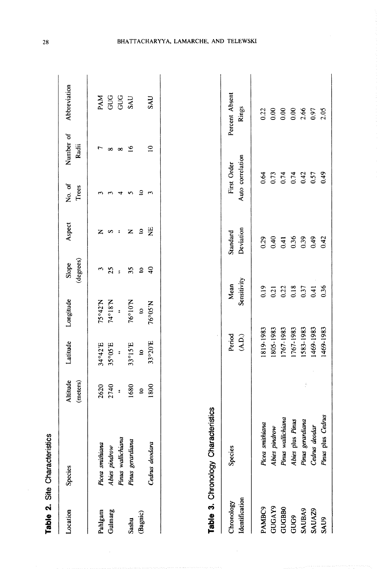| Location                     | Species                                               | Altitude<br>(meters)         | Latitude                           | Longitude                            | (degrees)<br>Slope                                          | Aspect                                                 | No. of<br>Trees                                | Number of<br>Radii                     | Abbreviation                    |
|------------------------------|-------------------------------------------------------|------------------------------|------------------------------------|--------------------------------------|-------------------------------------------------------------|--------------------------------------------------------|------------------------------------------------|----------------------------------------|---------------------------------|
| Gulmarg<br>Pahlgam           | Pinus wallichiana<br>Picea smithiana<br>Abies pindrow | 2620<br>2740<br>$\ddot{ }$   | 35°05'E<br>34°42'E<br>ă            | N.81°47<br>75°42'N<br>$\ddot{\cdot}$ | S<br>25<br>$\ddot{\phantom{2}}$                             | $\mathbf{Z}$<br>$\frac{1}{2}$<br>$\boldsymbol{\omega}$ | ෑ<br>S                                         | $\overline{ }$<br>$\infty$<br>$\infty$ | <b>PAM</b><br><b>ONG</b><br>ONG |
| (Bagnic)<br>Sashu            | Pinus gerardiana<br>Cedrus deodara                    | 1680<br>1800<br>$\mathbf{c}$ | 33°20'E<br>33°15'E<br>$\mathbf{S}$ | 76°10'N<br>76°05'N<br>$\mathbf{S}$   | $\frac{1}{4}$<br>55<br>$\mathbf{S}$                         | $\Xi$<br>$\mathbf{c}$<br>$\mathbf{Z}% _{0}$            | $\mathbf{S}$<br>$\mathbf{\tilde{5}}$<br>$\sim$ | $\overline{10}$<br>$\overline{16}$     | SAU<br><b>SAU</b>               |
|                              | Table 3. Chronology Characteristics                   |                              |                                    |                                      |                                                             |                                                        |                                                |                                        |                                 |
| Identification<br>Chronology | Species                                               |                              | Period<br>(A.D.)                   | Sensitivity<br>Mean                  |                                                             | Deviation<br>Standard                                  | Auto correlation<br>First Order                |                                        | Percent Absent<br>Rings         |
| PAMBC9                       | Picea smithiana                                       |                              | 1819-1983                          |                                      | 0.19                                                        | 0.29                                                   | 0.64                                           |                                        | 0.22                            |
| GUGAY9                       | Abies pindrow                                         |                              | 1805-1983                          |                                      |                                                             | 0.40                                                   |                                                |                                        | 0.00                            |
| GUGBB0                       | Pinus wallichiana                                     |                              | 1767-1983                          |                                      |                                                             | 0.41                                                   |                                                |                                        | 0.00                            |
| GUG9                         | Abies plus Pinus                                      |                              | 1767-1983                          |                                      | $\begin{array}{c} 0.21 \\ 0.22 \\ 0.18 \\ 0.37 \end{array}$ | 0.36                                                   | $0.73$<br>$0.74$<br>$0.42$<br>$0.57$           |                                        | 0.00                            |
| <b>SAUBA9</b>                | Pinus gerardiana                                      |                              | 1583-1983                          |                                      |                                                             | 0.39                                                   |                                                |                                        | 2.66                            |
| SAUAZ9                       | Cedrus deodar                                         |                              | 1469-1983                          | 0.41                                 |                                                             | 0.49                                                   |                                                |                                        | 0.97                            |
| <b>SAU9</b>                  | Pinus plus Cedrus                                     |                              | 1469-1983                          |                                      | 0.36                                                        | 0.42                                                   | 0.49                                           |                                        | 2.05                            |

Table 2. Site Characteristics

 $\sim$ 

# BHATTACHARYYA, LAMARCHE, AND TELEWSKI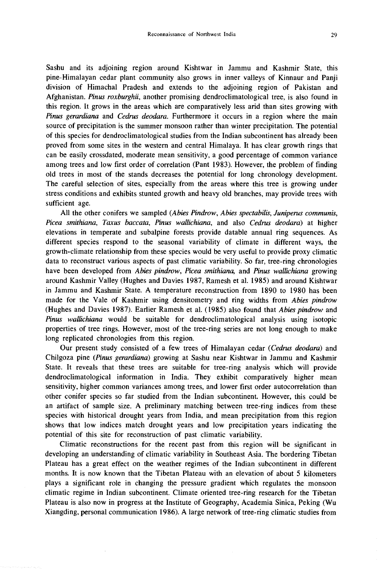Sashu and its adjoining region around Kishtwar in Jammu and Kashmir State, this pine -Himalayan cedar plant community also grows in inner valleys of Kinnaur and Panji division of Himachal Pradesh and extends to the adjoining region of Pakistan and Afghanistan. Pinus roxburghii, another promising dendroclimatological tree, is also found in this region. It grows in the areas which are comparatively less arid than sites growing with Pinus gerardiana and Cedrus deodara. Furthermore it occurs in a region where the main source of precipitation is the summer monsoon rather than winter precipitation. The potential of this species for dendroclimatological studies from the Indian subcontinent has already been proved from some sites in the western and central Himalaya. It has clear growth rings that can be easily crossdated, moderate mean sensitivity, a good percentage of common variance among trees and low first order of correlation (Pant 1983). However, the problem of finding old trees in most of the stands decreases the potential for long chronology development. The careful selection of sites, especially from the areas where this tree is growing under stress conditions and exhibits stunted growth and heavy old branches, may provide trees with sufficient age.

All the other conifers we sampled (Abies Pindrow, Abies spectabilis, Juniperus communis, Picea smithiana, Taxus baccata, Pinus wallichiana, and also Cedrus deodara) at higher elevations in temperate and subalpine forests provide datable annual ring sequences. As different species respond to the seasonal variability of climate in different ways, the growth -climate relationship from these species would be very useful to provide proxy climatic data to reconstruct various aspects of past climatic variability. So far, tree -ring chronologies have been developed from Abies pindrow, Picea smithiana, and Pinus wallichiana growing around Kashmir Valley (Hughes and Davies 1987, Ramesh et al. 1985) and around Kishtwar in Jammu and Kashmir State. A temperature reconstruction from 1890 to 1980 has been made for the Vale of Kashmir using densitometry and ring widths from Abies pindrow (Hughes and Davies 1987). Earlier Ramesh et al. (1985) also found that Abies pindrow and Pinus wallichiana would be suitable for dendroclimatological analysis using isotopic properties of tree rings. However, most of the tree -ring series are not long enough to make long replicated chronologies from this region.

Our present study consisted of a few trees of Himalayan cedar (Cedrus deodara) and Chilgoza pine (Pinus gerardiana) growing at Sashu near Kishtwar in Jammu and Kashmir State. It reveals that these trees are suitable for tree -ring analysis which will provide dendroclimatological information in India. They exhibit comparatively higher mean sensitivity, higher common variances among trees, and lower first order autocorrelation than other conifer species so far studied from the Indian subcontinent. However, this could be an artifact of sample size. A preliminary matching between tree-ring indices from these species with historical drought years from India, and mean precipitation from this region shows that low indices match drought years and low precipitation years indicating the potential of this site for reconstruction of past climatic variability.

Climatic reconstructions for the recent past from this region will be significant in developing an understanding of climatic variability in Southeast Asia. The bordering Tibetan Plateau has a great effect on the weather regimes of the Indian subcontinent in different months. It is now known that the Tibetan Plateau with an elevation of about 5 kilometers plays a significant role in changing the pressure gradient which regulates the monsoon climatic regime in Indian subcontinent. Climate oriented tree -ring research for the Tibetan Plateau is also now in progress at the Institute of Geography, Academia Sinica, Peking (Wu Xiangding, personal communication 1986). A large network of tree -ring climatic studies from